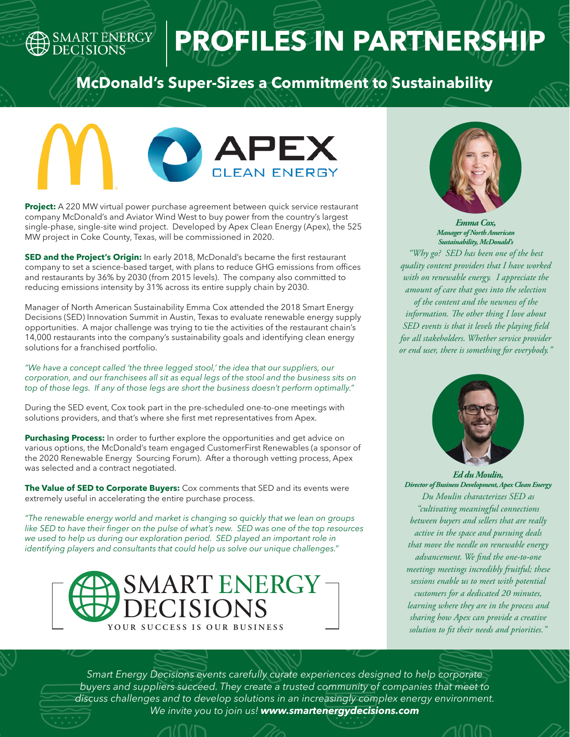### SMART ENERGY

# **PROFILES IN PARTNERSHIP**

#### **McDonald's Super-Sizes a Commitment to Sustainability**



**Project:** A 220 MW virtual power purchase agreement between quick service restaurant company McDonald's and Aviator Wind West to buy power from the country's largest single-phase, single-site wind project. Developed by Apex Clean Energy (Apex), the 525 MW project in Coke County, Texas, will be commissioned in 2020.

**SED and the Project's Origin:** In early 2018, McDonald's became the first restaurant company to set a science-based target, with plans to reduce GHG emissions from offices and restaurants by 36% by 2030 (from 2015 levels). The company also committed to reducing emissions intensity by 31% across its entire supply chain by 2030.

Manager of North American Sustainability Emma Cox attended the 2018 Smart Energy Decisions (SED) Innovation Summit in Austin, Texas to evaluate renewable energy supply opportunities. A major challenge was trying to tie the activities of the restaurant chain's 14,000 restaurants into the company's sustainability goals and identifying clean energy solutions for a franchised portfolio.

*"We have a concept called 'the three legged stool,' the idea that our suppliers, our corporation, and our franchisees all sit as equal legs of the stool and the business sits on top of those legs. If any of those legs are short the business doesn't perform optimally."*

During the SED event, Cox took part in the pre-scheduled one-to-one meetings with solutions providers, and that's where she first met representatives from Apex.

**Purchasing Process:** In order to further explore the opportunities and get advice on various options, the McDonald's team engaged CustomerFirst Renewables (a sponsor of the 2020 Renewable Energy Sourcing Forum). After a thorough vetting process, Apex was selected and a contract negotiated.

**The Value of SED to Corporate Buyers:** Cox comments that SED and its events were extremely useful in accelerating the entire purchase process.

*"The renewable energy world and market is changing so quickly that we lean on groups*  like SED to have their finger on the pulse of what's new. SED was one of the top resources *we used to help us during our exploration period. SED played an important role in identifying players and consultants that could help us solve our unique challenges."* 





*Emma Cox, Manager of North American Sustainability, McDonald's*

*"Why go? SED has been one of the best quality content providers that I have worked with on renewable energy. I appreciate the amount of care that goes into the selection of the content and the newness of the information. The other thing I love about SED events is that it levels the playing field for all stakeholders. Whether service provider or end user, there is something for everybody."* 



*Ed du Moulin, Director of Business Development, Apex Clean Energy Du Moulin characterizes SED as "cultivating meaningful connections between buyers and sellers that are really active in the space and pursuing deals that move the needle on renewable energy advancement. We find the one-to-one meetings meetings incredibly fruitful; these sessions enable us to meet with potential customers for a dedicated 20 minutes, learning where they are in the process and sharing how Apex can provide a creative solution to fit their needs and priorities."* 

*Smart Energy Decisions events carefully curate experiences designed to help corporate buyers and suppliers succeed. They create a trusted community of companies that meet to discuss challenges and to develop solutions in an increasingly complex energy environment. We invite you to join us! www.smartenergydecisions.com*